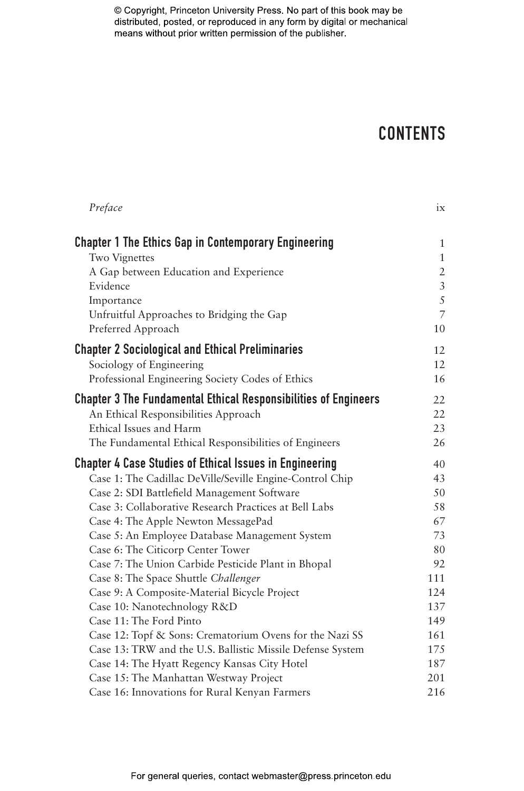# **CONTENTS**

| Preface                                                                             | ix                               |
|-------------------------------------------------------------------------------------|----------------------------------|
| <b>Chapter 1 The Ethics Gap in Contemporary Engineering</b><br><b>Two Vignettes</b> | 1<br>$\mathbf{1}$                |
| A Gap between Education and Experience<br>Evidence                                  | $\overline{2}$<br>$\overline{3}$ |
| Importance                                                                          | 5                                |
| Unfruitful Approaches to Bridging the Gap                                           | $\overline{7}$                   |
| Preferred Approach                                                                  | 10                               |
| <b>Chapter 2 Sociological and Ethical Preliminaries</b>                             | 12                               |
| Sociology of Engineering                                                            | 12                               |
| Professional Engineering Society Codes of Ethics                                    | 16                               |
| <b>Chapter 3 The Fundamental Ethical Responsibilities of Engineers</b>              | 22                               |
| An Ethical Responsibilities Approach                                                | 22                               |
| Ethical Issues and Harm                                                             | 23                               |
| The Fundamental Ethical Responsibilities of Engineers                               | 26                               |
| <b>Chapter 4 Case Studies of Ethical Issues in Engineering</b>                      | 40                               |
| Case 1: The Cadillac DeVille/Seville Engine-Control Chip                            | 43                               |
| Case 2: SDI Battlefield Management Software                                         | 50                               |
| Case 3: Collaborative Research Practices at Bell Labs                               | 58                               |
| Case 4: The Apple Newton MessagePad                                                 | 67                               |
| Case 5: An Employee Database Management System                                      | 73                               |
| Case 6: The Citicorp Center Tower                                                   | 80                               |
| Case 7: The Union Carbide Pesticide Plant in Bhopal                                 | 92                               |
| Case 8: The Space Shuttle Challenger                                                | 111                              |
| Case 9: A Composite-Material Bicycle Project                                        | 124                              |
| Case 10: Nanotechnology R&D                                                         | 137                              |
| Case 11: The Ford Pinto                                                             | 149                              |
| Case 12: Topf & Sons: Crematorium Ovens for the Nazi SS                             | 161                              |
| Case 13: TRW and the U.S. Ballistic Missile Defense System                          | 175                              |
| Case 14: The Hyatt Regency Kansas City Hotel                                        | 187                              |
| Case 15: The Manhattan Westway Project                                              | 201                              |
| Case 16: Innovations for Rural Kenyan Farmers                                       | 216                              |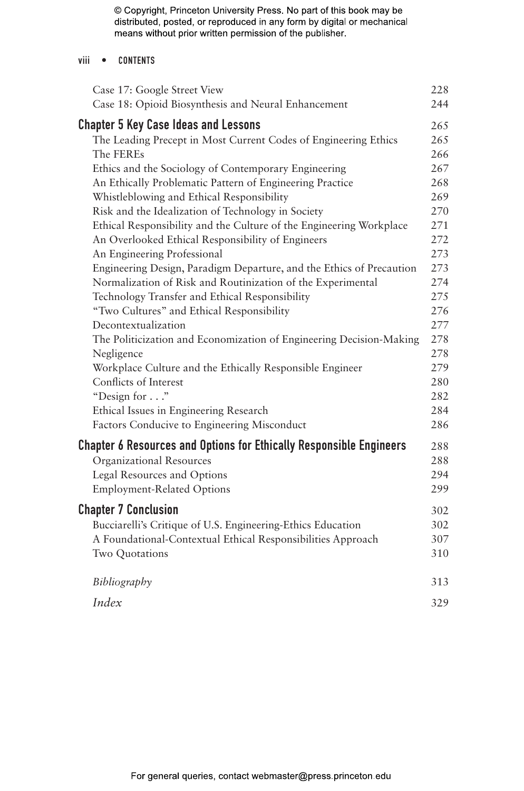## viii • contents

| Case 17: Google Street View                                                | 228 |
|----------------------------------------------------------------------------|-----|
| Case 18: Opioid Biosynthesis and Neural Enhancement                        | 244 |
| <b>Chapter 5 Key Case Ideas and Lessons</b>                                | 265 |
| The Leading Precept in Most Current Codes of Engineering Ethics            | 265 |
| The FEREs                                                                  | 266 |
| Ethics and the Sociology of Contemporary Engineering                       | 267 |
| An Ethically Problematic Pattern of Engineering Practice                   | 268 |
| Whistleblowing and Ethical Responsibility                                  | 269 |
| Risk and the Idealization of Technology in Society                         | 270 |
| Ethical Responsibility and the Culture of the Engineering Workplace        | 271 |
| An Overlooked Ethical Responsibility of Engineers                          | 272 |
| An Engineering Professional                                                | 273 |
| Engineering Design, Paradigm Departure, and the Ethics of Precaution       | 273 |
| Normalization of Risk and Routinization of the Experimental                | 274 |
| Technology Transfer and Ethical Responsibility                             | 275 |
| "Two Cultures" and Ethical Responsibility                                  | 276 |
| Decontextualization                                                        | 277 |
| The Politicization and Economization of Engineering Decision-Making        | 278 |
| Negligence                                                                 | 278 |
| Workplace Culture and the Ethically Responsible Engineer                   | 279 |
| Conflicts of Interest                                                      | 280 |
| "Design for"                                                               | 282 |
| Ethical Issues in Engineering Research                                     | 284 |
| Factors Conducive to Engineering Misconduct                                | 286 |
| <b>Chapter 6 Resources and Options for Ethically Responsible Engineers</b> | 288 |
| Organizational Resources                                                   | 288 |
| Legal Resources and Options                                                | 294 |
| Employment-Related Options                                                 | 299 |
| <b>Chapter 7 Conclusion</b>                                                | 302 |
| Bucciarelli's Critique of U.S. Engineering-Ethics Education                | 302 |
| A Foundational-Contextual Ethical Responsibilities Approach                | 307 |
| Two Quotations                                                             | 310 |
| Bibliography                                                               | 313 |
| Index                                                                      | 329 |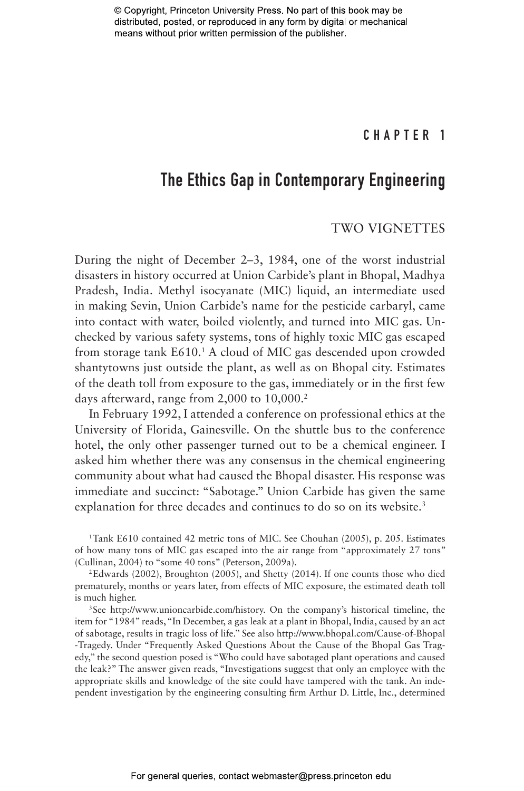# CHAPTER 1

# The Ethics Gap in Contemporary Engineering

# TWO VIGNETTES

During the night of December 2–3, 1984, one of the worst industrial disasters in history occurred at Union Carbide's plant in Bhopal, Madhya Pradesh, India. Methyl isocyanate (MIC) liquid, an intermediate used in making Sevin, Union Carbide's name for the pesticide carbaryl, came into contact with water, boiled violently, and turned into MIC gas. Unchecked by various safety systems, tons of highly toxic MIC gas escaped from storage tank E610.<sup>1</sup> A cloud of MIC gas descended upon crowded shantytowns just outside the plant, as well as on Bhopal city. Estimates of the death toll from exposure to the gas, immediately or in the first few days afterward, range from 2,000 to 10,000.<sup>2</sup>

In February 1992, I attended a conference on professional ethics at the University of Florida, Gainesville. On the shuttle bus to the conference hotel, the only other passenger turned out to be a chemical engineer. I asked him whether there was any consensus in the chemical engineering community about what had caused the Bhopal disaster. His response was immediate and succinct: "Sabotage." Union Carbide has given the same explanation for three decades and continues to do so on its website.<sup>3</sup>

1Tank E610 contained 42 metric tons of MIC. See Chouhan (2005), p. 205. Estimates of how many tons of MIC gas escaped into the air range from "approximately 27 tons" (Cullinan, 2004) to "some 40 tons" (Peterson, 2009a).

2Edwards (2002), Broughton (2005), and Shetty (2014). If one counts those who died prematurely, months or years later, from effects of MIC exposure, the estimated death toll is much higher.

3See http://www.unioncarbide.com/history. On the company's historical timeline, the item for "1984" reads, "In December, a gas leak at a plant in Bhopal, India, caused by an act of sabotage, results in tragic loss of life." See also http://www.bhopal.com/Cause-of-Bhopal -Tragedy. Under "Frequently Asked Questions About the Cause of the Bhopal Gas Tragedy," the second question posed is "Who could have sabotaged plant operations and caused the leak?" The answer given reads, "Investigations suggest that only an employee with the appropriate skills and knowledge of the site could have tampered with the tank. An independent investigation by the engineering consulting firm Arthur D. Little, Inc., determined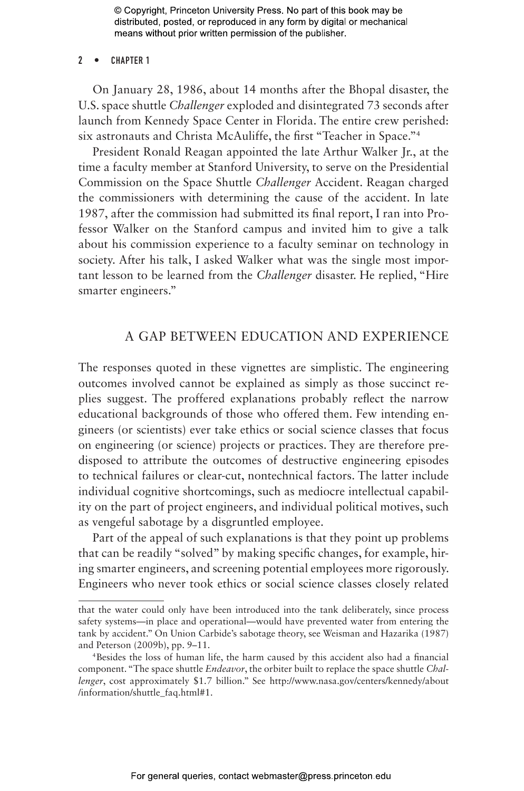2 • Chapter 1

On January 28, 1986, about 14 months after the Bhopal disaster, the U.S. space shuttle *Challenger* exploded and disintegrated 73 seconds after launch from Kennedy Space Center in Florida. The entire crew perished: six astronauts and Christa McAuliffe, the first "Teacher in Space."4

President Ronald Reagan appointed the late Arthur Walker Jr., at the time a faculty member at Stanford University, to serve on the Presidential Commission on the Space Shuttle *Challenger* Accident. Reagan charged the commissioners with determining the cause of the accident. In late 1987, after the commission had submitted its final report, I ran into Professor Walker on the Stanford campus and invited him to give a talk about his commission experience to a faculty seminar on technology in society. After his talk, I asked Walker what was the single most important lesson to be learned from the *Challenger* disaster. He replied, "Hire smarter engineers."

# A GAP BETWEEN EDUCATION AND EXPERIENCE

The responses quoted in these vignettes are simplistic. The engineering outcomes involved cannot be explained as simply as those succinct replies suggest. The proffered explanations probably reflect the narrow educational backgrounds of those who offered them. Few intending engineers (or scientists) ever take ethics or social science classes that focus on engineering (or science) projects or practices. They are therefore predisposed to attribute the outcomes of destructive engineering episodes to technical failures or clear-cut, nontechnical factors. The latter include individual cognitive shortcomings, such as mediocre intellectual capability on the part of project engineers, and individual political motives, such as vengeful sabotage by a disgruntled employee.

Part of the appeal of such explanations is that they point up problems that can be readily "solved" by making specific changes, for example, hiring smarter engineers, and screening potential employees more rigorously. Engineers who never took ethics or social science classes closely related

that the water could only have been introduced into the tank deliberately, since process safety systems—in place and operational—would have prevented water from entering the tank by accident." On Union Carbide's sabotage theory, see Weisman and Hazarika (1987) and Peterson (2009b), pp. 9–11.

<sup>4</sup>Besides the loss of human life, the harm caused by this accident also had a financial component. "The space shuttle *Endeavor*, the orbiter built to replace the space shuttle *Challenger*, cost approximately \$1.7 billion." See http://www.nasa.gov/centers/kennedy/about /information/shuttle\_faq.html#1.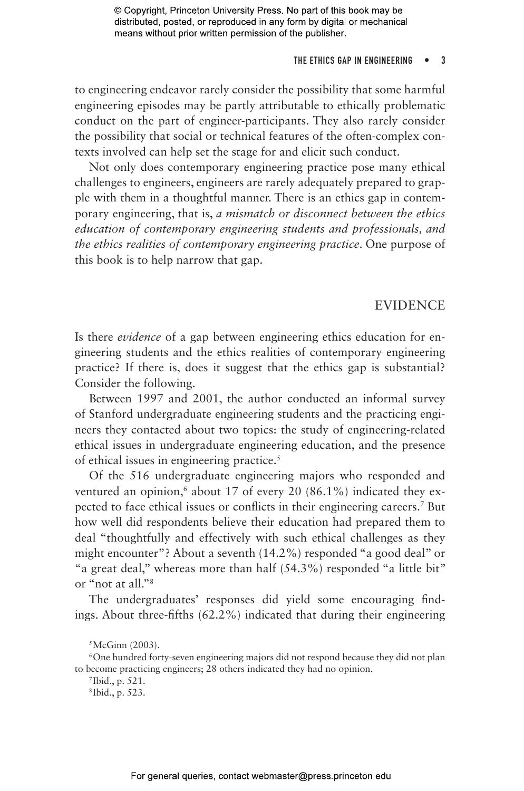## THE ETHICS GAP IN ENGINEERING • 3

to engineering endeavor rarely consider the possibility that some harmful engineering episodes may be partly attributable to ethically problematic conduct on the part of engineer-participants. They also rarely consider the possibility that social or technical features of the often-complex contexts involved can help set the stage for and elicit such conduct.

Not only does contemporary engineering practice pose many ethical challenges to engineers, engineers are rarely adequately prepared to grapple with them in a thoughtful manner. There is an ethics gap in contemporary engineering, that is, *a mismatch or disconnect between the ethics education of contemporary engineering students and professionals, and the ethics realities of contemporary engineering practice*. One purpose of this book is to help narrow that gap.

# EVIDENCE

Is there *evidence* of a gap between engineering ethics education for engineering students and the ethics realities of contemporary engineering practice? If there is, does it suggest that the ethics gap is substantial? Consider the following.

Between 1997 and 2001, the author conducted an informal survey of Stanford undergraduate engineering students and the practicing engineers they contacted about two topics: the study of engineering-related ethical issues in undergraduate engineering education, and the presence of ethical issues in engineering practice.<sup>5</sup>

Of the 516 undergraduate engineering majors who responded and ventured an opinion,<sup>6</sup> about 17 of every 20 (86.1%) indicated they expected to face ethical issues or conflicts in their engineering careers.7 But how well did respondents believe their education had prepared them to deal "thoughtfully and effectively with such ethical challenges as they might encounter"? About a seventh (14.2%) responded "a good deal" or "a great deal," whereas more than half (54.3%) responded "a little bit" or "not at all."8

The undergraduates' responses did yield some encouraging findings. About three-fifths (62.2%) indicated that during their engineering

<sup>5</sup>McGinn (2003).

<sup>6</sup>One hundred forty-seven engineering majors did not respond because they did not plan to become practicing engineers; 28 others indicated they had no opinion.

<sup>7</sup>Ibid., p. 521.

<sup>8</sup>Ibid., p. 523.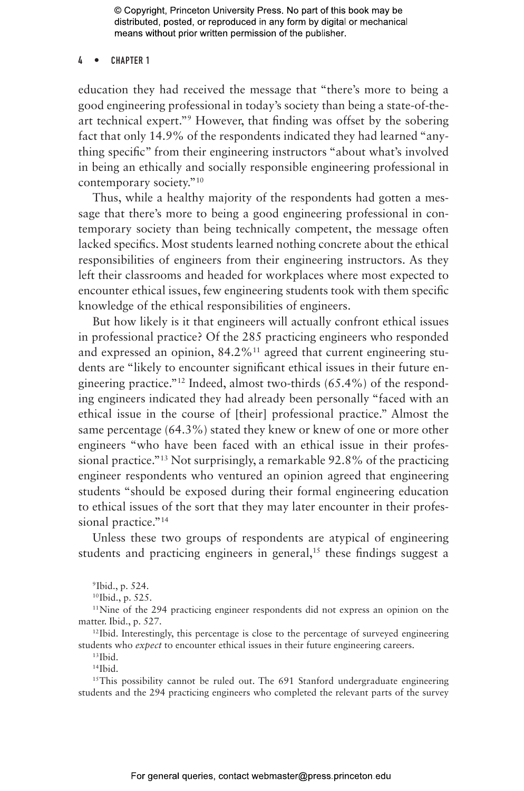4 • Chapter 1

education they had received the message that "there's more to being a good engineering professional in today's society than being a state-of-theart technical expert."9 However, that finding was offset by the sobering fact that only 14.9% of the respondents indicated they had learned "anything specific" from their engineering instructors "about what's involved in being an ethically and socially responsible engineering professional in contemporary society."10

Thus, while a healthy majority of the respondents had gotten a message that there's more to being a good engineering professional in contemporary society than being technically competent, the message often lacked specifics. Most students learned nothing concrete about the ethical responsibilities of engineers from their engineering instructors. As they left their classrooms and headed for workplaces where most expected to encounter ethical issues, few engineering students took with them specific knowledge of the ethical responsibilities of engineers.

But how likely is it that engineers will actually confront ethical issues in professional practice? Of the 285 practicing engineers who responded and expressed an opinion,  $84.2\%$ <sup>11</sup> agreed that current engineering students are "likely to encounter significant ethical issues in their future engineering practice."12 Indeed, almost two-thirds (65.4%) of the responding engineers indicated they had already been personally "faced with an ethical issue in the course of [their] professional practice." Almost the same percentage (64.3%) stated they knew or knew of one or more other engineers "who have been faced with an ethical issue in their professional practice."13 Not surprisingly, a remarkable 92.8% of the practicing engineer respondents who ventured an opinion agreed that engineering students "should be exposed during their formal engineering education to ethical issues of the sort that they may later encounter in their professional practice."<sup>14</sup>

Unless these two groups of respondents are atypical of engineering students and practicing engineers in general, $15$  these findings suggest a

9Ibid., p. 524.

10Ibid., p. 525.

11Nine of the 294 practicing engineer respondents did not express an opinion on the matter. Ibid., p. 527.

<sup>12</sup>Ibid. Interestingly, this percentage is close to the percentage of surveyed engineering students who *expect* to encounter ethical issues in their future engineering careers.

 $13$ Ibid.

14Ibid.

<sup>15</sup>This possibility cannot be ruled out. The 691 Stanford undergraduate engineering students and the 294 practicing engineers who completed the relevant parts of the survey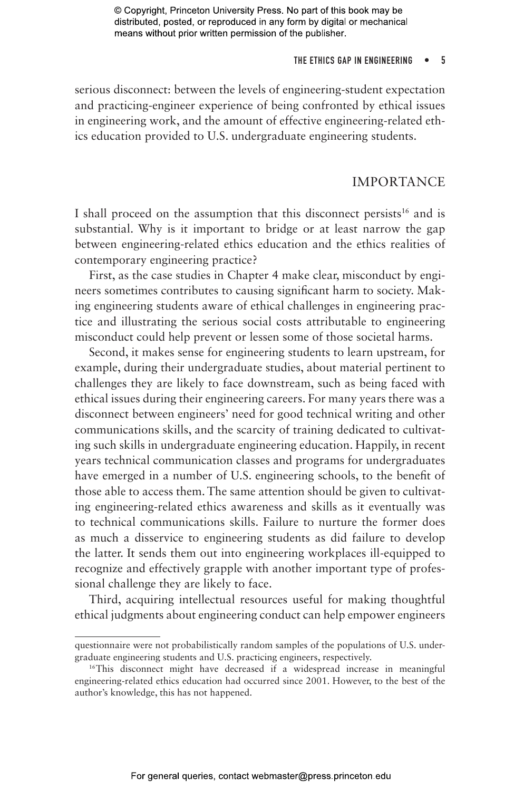### THE ETHICS GAP IN ENGINEERING • 5

serious disconnect: between the levels of engineering-student expectation and practicing-engineer experience of being confronted by ethical issues in engineering work, and the amount of effective engineering-related ethics education provided to U.S. undergraduate engineering students.

# IMPORTANCE

I shall proceed on the assumption that this disconnect persists<sup>16</sup> and is substantial. Why is it important to bridge or at least narrow the gap between engineering-related ethics education and the ethics realities of contemporary engineering practice?

First, as the case studies in Chapter 4 make clear, misconduct by engineers sometimes contributes to causing significant harm to society. Making engineering students aware of ethical challenges in engineering practice and illustrating the serious social costs attributable to engineering misconduct could help prevent or lessen some of those societal harms.

Second, it makes sense for engineering students to learn upstream, for example, during their undergraduate studies, about material pertinent to challenges they are likely to face downstream, such as being faced with ethical issues during their engineering careers. For many years there was a disconnect between engineers' need for good technical writing and other communications skills, and the scarcity of training dedicated to cultivating such skills in undergraduate engineering education. Happily, in recent years technical communication classes and programs for undergraduates have emerged in a number of U.S. engineering schools, to the benefit of those able to access them. The same attention should be given to cultivating engineering-related ethics awareness and skills as it eventually was to technical communications skills. Failure to nurture the former does as much a disservice to engineering students as did failure to develop the latter. It sends them out into engineering workplaces ill-equipped to recognize and effectively grapple with another important type of professional challenge they are likely to face.

Third, acquiring intellectual resources useful for making thoughtful ethical judgments about engineering conduct can help empower engineers

questionnaire were not probabilistically random samples of the populations of U.S. undergraduate engineering students and U.S. practicing engineers, respectively.

<sup>&</sup>lt;sup>16</sup>This disconnect might have decreased if a widespread increase in meaningful engineering-related ethics education had occurred since 2001. However, to the best of the author's knowledge, this has not happened.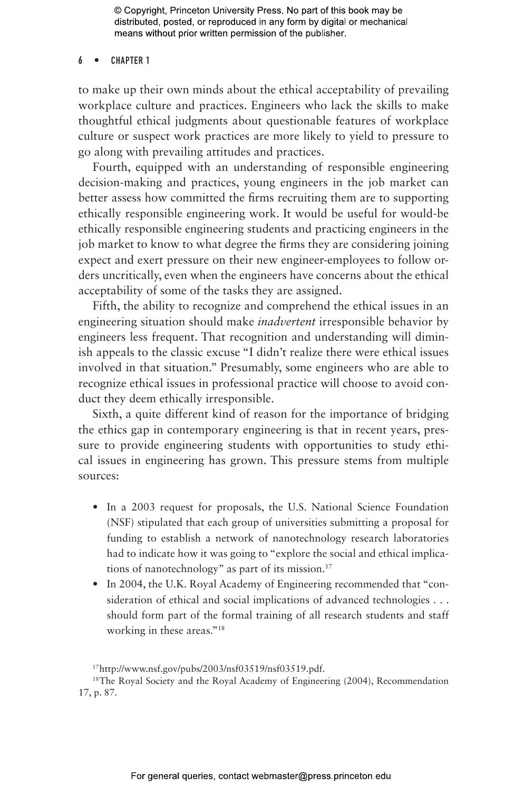6 • Chapter 1

to make up their own minds about the ethical acceptability of prevailing workplace culture and practices. Engineers who lack the skills to make thoughtful ethical judgments about questionable features of workplace culture or suspect work practices are more likely to yield to pressure to go along with prevailing attitudes and practices.

Fourth, equipped with an understanding of responsible engineering decision-making and practices, young engineers in the job market can better assess how committed the firms recruiting them are to supporting ethically responsible engineering work. It would be useful for would-be ethically responsible engineering students and practicing engineers in the job market to know to what degree the firms they are considering joining expect and exert pressure on their new engineer-employees to follow orders uncritically, even when the engineers have concerns about the ethical acceptability of some of the tasks they are assigned.

Fifth, the ability to recognize and comprehend the ethical issues in an engineering situation should make *inadvertent* irresponsible behavior by engineers less frequent. That recognition and understanding will diminish appeals to the classic excuse "I didn't realize there were ethical issues involved in that situation." Presumably, some engineers who are able to recognize ethical issues in professional practice will choose to avoid conduct they deem ethically irresponsible.

Sixth, a quite different kind of reason for the importance of bridging the ethics gap in contemporary engineering is that in recent years, pressure to provide engineering students with opportunities to study ethical issues in engineering has grown. This pressure stems from multiple sources:

- In a 2003 request for proposals, the U.S. National Science Foundation (NSF) stipulated that each group of universities submitting a proposal for funding to establish a network of nanotechnology research laboratories had to indicate how it was going to "explore the social and ethical implications of nanotechnology" as part of its mission.<sup>17</sup>
- In 2004, the U.K. Royal Academy of Engineering recommended that "consideration of ethical and social implications of advanced technologies . . . should form part of the formal training of all research students and staff working in these areas."18

<sup>17</sup>http://www.nsf.gov/pubs/2003/nsf03519/nsf03519.pdf.

<sup>&</sup>lt;sup>18</sup>The Royal Society and the Royal Academy of Engineering (2004), Recommendation 17, p. 87.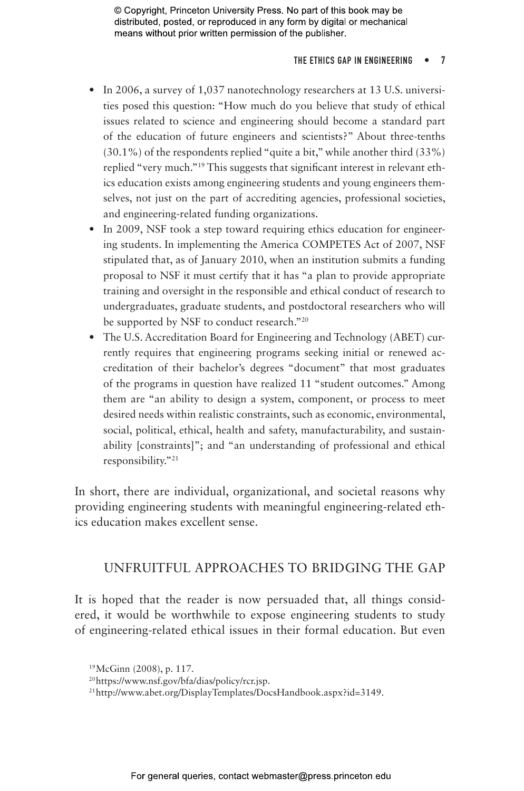## THE ETHICS GAP IN ENGINEERING • 7

- In 2006, a survey of 1,037 nanotechnology researchers at 13 U.S. universities posed this question: "How much do you believe that study of ethical issues related to science and engineering should become a standard part of the education of future engineers and scientists?" About three-tenths (30.1%) of the respondents replied "quite a bit," while another third (33%) replied "very much."19 This suggests that significant interest in relevant ethics education exists among engineering students and young engineers themselves, not just on the part of accrediting agencies, professional societies, and engineering-related funding organizations.
- In 2009, NSF took a step toward requiring ethics education for engineering students. In implementing the America COMPETES Act of 2007, NSF stipulated that, as of January 2010, when an institution submits a funding proposal to NSF it must certify that it has "a plan to provide appropriate training and oversight in the responsible and ethical conduct of research to undergraduates, graduate students, and postdoctoral researchers who will be supported by NSF to conduct research."<sup>20</sup>
- The U.S. Accreditation Board for Engineering and Technology (ABET) currently requires that engineering programs seeking initial or renewed accreditation of their bachelor's degrees "document" that most graduates of the programs in question have realized 11 "student outcomes." Among them are "an ability to design a system, component, or process to meet desired needs within realistic constraints, such as economic, environmental, social, political, ethical, health and safety, manufacturability, and sustainability [constraints]"; and "an understanding of professional and ethical responsibility."21

In short, there are individual, organizational, and societal reasons why providing engineering students with meaningful engineering-related ethics education makes excellent sense.

# UNFRUITFUL APPROACHES TO BRIDGING THE GAP

It is hoped that the reader is now persuaded that, all things considered, it would be worthwhile to expose engineering students to study of engineering-related ethical issues in their formal education. But even

<sup>19</sup>McGinn (2008), p. 117.

<sup>20</sup>https://www.nsf.gov/bfa/dias/policy/rcr.jsp.

<sup>21</sup>http://www.abet.org/DisplayTemplates/DocsHandbook.aspx?id=3149.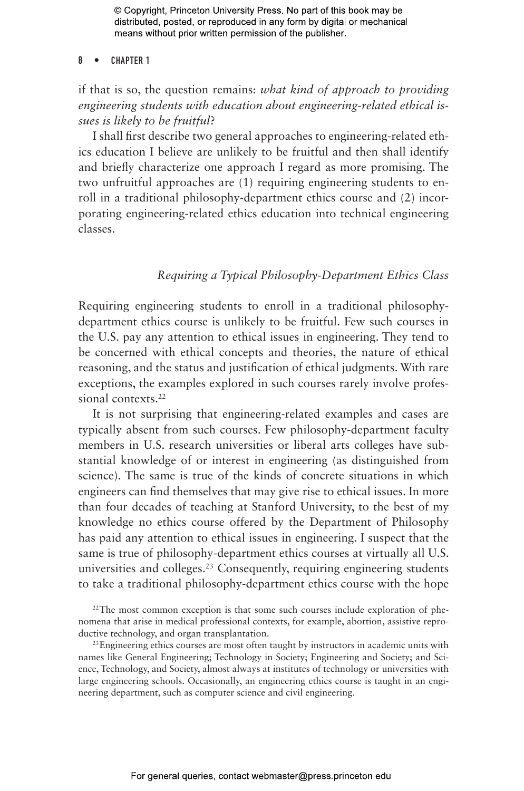8 • CHAPTER 1

if that is so, the question remains: *what kind of approach to providing engineering students with education about engineering-related ethical issues is likely to be fruitful*?

I shall first describe two general approaches to engineering-related ethics education I believe are unlikely to be fruitful and then shall identify and briefly characterize one approach I regard as more promising. The two unfruitful approaches are (1) requiring engineering students to enroll in a traditional philosophy-department ethics course and (2) incorporating engineering-related ethics education into technical engineering classes.

## *Requiring a Typical Philosophy-Department Ethics Class*

Requiring engineering students to enroll in a traditional philosophydepartment ethics course is unlikely to be fruitful. Few such courses in the U.S. pay any attention to ethical issues in engineering. They tend to be concerned with ethical concepts and theories, the nature of ethical reasoning, and the status and justification of ethical judgments. With rare exceptions, the examples explored in such courses rarely involve professional contexts.<sup>22</sup>

It is not surprising that engineering-related examples and cases are typically absent from such courses. Few philosophy-department faculty members in U.S. research universities or liberal arts colleges have substantial knowledge of or interest in engineering (as distinguished from science). The same is true of the kinds of concrete situations in which engineers can find themselves that may give rise to ethical issues. In more than four decades of teaching at Stanford University, to the best of my knowledge no ethics course offered by the Department of Philosophy has paid any attention to ethical issues in engineering. I suspect that the same is true of philosophy-department ethics courses at virtually all U.S. universities and colleges.<sup>23</sup> Consequently, requiring engineering students to take a traditional philosophy-department ethics course with the hope

<sup>&</sup>lt;sup>22</sup>The most common exception is that some such courses include exploration of phenomena that arise in medical professional contexts, for example, abortion, assistive reproductive technology, and organ transplantation.

 $23$  Engineering ethics courses are most often taught by instructors in academic units with names like General Engineering; Technology in Society; Engineering and Society; and Science, Technology, and Society, almost always at institutes of technology or universities with large engineering schools. Occasionally, an engineering ethics course is taught in an engineering department, such as computer science and civil engineering.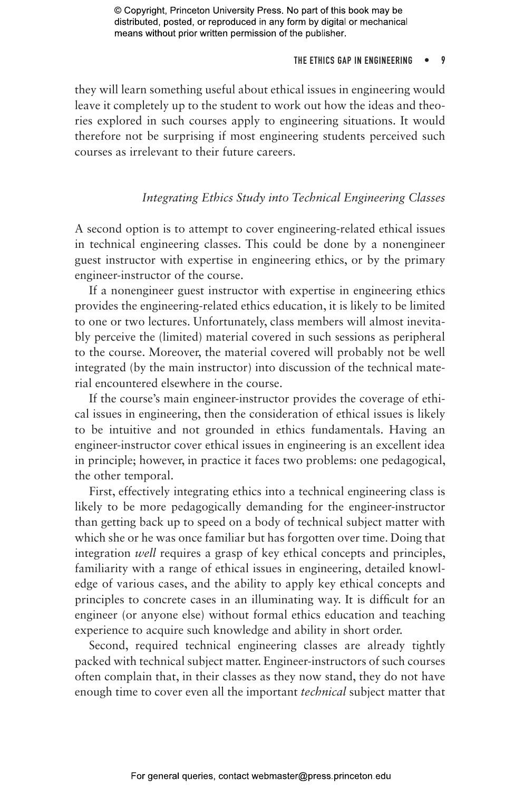### THE ETHICS GAP IN ENGINEERING • 9

they will learn something useful about ethical issues in engineering would leave it completely up to the student to work out how the ideas and theories explored in such courses apply to engineering situations. It would therefore not be surprising if most engineering students perceived such courses as irrelevant to their future careers.

# *Integrating Ethics Study into Technical Engineering Classes*

A second option is to attempt to cover engineering-related ethical issues in technical engineering classes. This could be done by a nonengineer guest instructor with expertise in engineering ethics, or by the primary engineer-instructor of the course.

If a nonengineer guest instructor with expertise in engineering ethics provides the engineering-related ethics education, it is likely to be limited to one or two lectures. Unfortunately, class members will almost inevitably perceive the (limited) material covered in such sessions as peripheral to the course. Moreover, the material covered will probably not be well integrated (by the main instructor) into discussion of the technical material encountered elsewhere in the course.

If the course's main engineer-instructor provides the coverage of ethical issues in engineering, then the consideration of ethical issues is likely to be intuitive and not grounded in ethics fundamentals. Having an engineer-instructor cover ethical issues in engineering is an excellent idea in principle; however, in practice it faces two problems: one pedagogical, the other temporal.

First, effectively integrating ethics into a technical engineering class is likely to be more pedagogically demanding for the engineer-instructor than getting back up to speed on a body of technical subject matter with which she or he was once familiar but has forgotten over time. Doing that integration *well* requires a grasp of key ethical concepts and principles, familiarity with a range of ethical issues in engineering, detailed knowledge of various cases, and the ability to apply key ethical concepts and principles to concrete cases in an illuminating way. It is difficult for an engineer (or anyone else) without formal ethics education and teaching experience to acquire such knowledge and ability in short order.

Second, required technical engineering classes are already tightly packed with technical subject matter. Engineer-instructors of such courses often complain that, in their classes as they now stand, they do not have enough time to cover even all the important *technical* subject matter that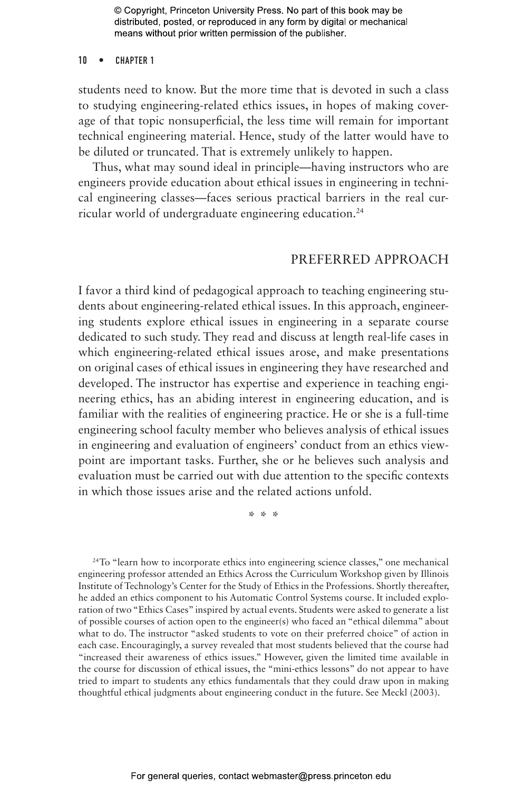### 10 • CHAPTER 1

students need to know. But the more time that is devoted in such a class to studying engineering-related ethics issues, in hopes of making coverage of that topic nonsuperficial, the less time will remain for important technical engineering material. Hence, study of the latter would have to be diluted or truncated. That is extremely unlikely to happen.

Thus, what may sound ideal in principle—having instructors who are engineers provide education about ethical issues in engineering in technical engineering classes—faces serious practical barriers in the real curricular world of undergraduate engineering education.24

# PREFERRED APPROACH

I favor a third kind of pedagogical approach to teaching engineering students about engineering-related ethical issues. In this approach, engineering students explore ethical issues in engineering in a separate course dedicated to such study. They read and discuss at length real-life cases in which engineering-related ethical issues arose, and make presentations on original cases of ethical issues in engineering they have researched and developed. The instructor has expertise and experience in teaching engineering ethics, has an abiding interest in engineering education, and is familiar with the realities of engineering practice. He or she is a full-time engineering school faculty member who believes analysis of ethical issues in engineering and evaluation of engineers' conduct from an ethics viewpoint are important tasks. Further, she or he believes such analysis and evaluation must be carried out with due attention to the specific contexts in which those issues arise and the related actions unfold.

\* \* \*

<sup>24</sup>To "learn how to incorporate ethics into engineering science classes," one mechanical engineering professor attended an Ethics Across the Curriculum Workshop given by Illinois Institute of Technology's Center for the Study of Ethics in the Professions. Shortly thereafter, he added an ethics component to his Automatic Control Systems course. It included exploration of two "Ethics Cases" inspired by actual events. Students were asked to generate a list of possible courses of action open to the engineer(s) who faced an "ethical dilemma" about what to do. The instructor "asked students to vote on their preferred choice" of action in each case. Encouragingly, a survey revealed that most students believed that the course had "increased their awareness of ethics issues." However, given the limited time available in the course for discussion of ethical issues, the "mini-ethics lessons" do not appear to have tried to impart to students any ethics fundamentals that they could draw upon in making thoughtful ethical judgments about engineering conduct in the future. See Meckl (2003).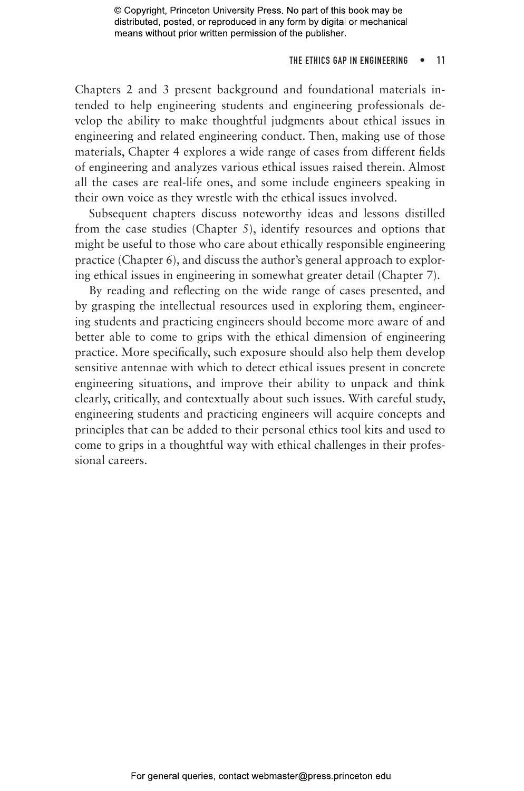### THE ETHICS GAP IN ENGINEERING • 11

Chapters 2 and 3 present background and foundational materials intended to help engineering students and engineering professionals develop the ability to make thoughtful judgments about ethical issues in engineering and related engineering conduct. Then, making use of those materials, Chapter 4 explores a wide range of cases from different fields of engineering and analyzes various ethical issues raised therein. Almost all the cases are real-life ones, and some include engineers speaking in their own voice as they wrestle with the ethical issues involved.

Subsequent chapters discuss noteworthy ideas and lessons distilled from the case studies (Chapter 5), identify resources and options that might be useful to those who care about ethically responsible engineering practice (Chapter 6), and discuss the author's general approach to exploring ethical issues in engineering in somewhat greater detail (Chapter 7).

By reading and reflecting on the wide range of cases presented, and by grasping the intellectual resources used in exploring them, engineering students and practicing engineers should become more aware of and better able to come to grips with the ethical dimension of engineering practice. More specifically, such exposure should also help them develop sensitive antennae with which to detect ethical issues present in concrete engineering situations, and improve their ability to unpack and think clearly, critically, and contextually about such issues. With careful study, engineering students and practicing engineers will acquire concepts and principles that can be added to their personal ethics tool kits and used to come to grips in a thoughtful way with ethical challenges in their professional careers.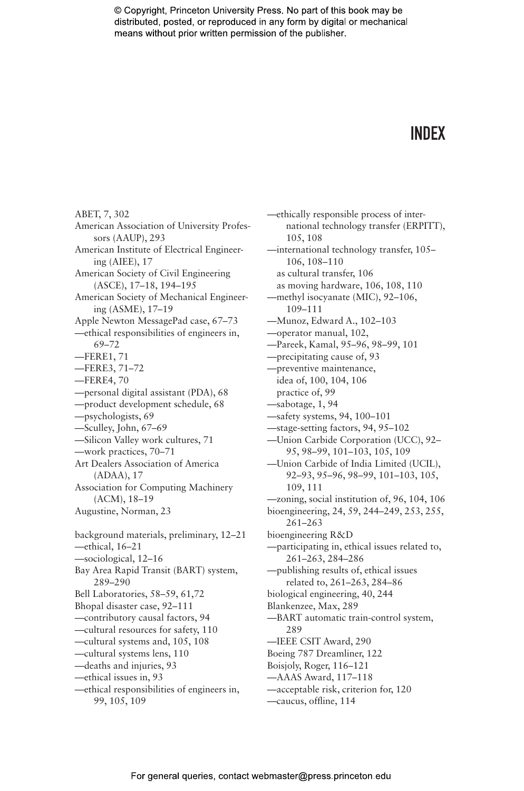# INDEX

ABET, 7, 302 American Association of University Professors (AAUP), 293 American Institute of Electrical Engineering (AIEE), 17 American Society of Civil Engineering (ASCE), 17–18, 194–195 American Society of Mechanical Engineering (ASME), 17–19 Apple Newton MessagePad case, 67–73 —ethical responsibilities of engineers in, 69–72 —FERE1, 71 —FERE3, 71–72 —FERE4, 70 —personal digital assistant (PDA), 68 —product development schedule, 68 —psychologists, 69 —Sculley, John, 67–69 —Silicon Valley work cultures, 71 —work practices, 70–71 Art Dealers Association of America (ADAA), 17 Association for Computing Machinery (ACM), 18–19 Augustine, Norman, 23 background materials, preliminary, 12–21 —ethical, 16–21 —sociological, 12–16 Bay Area Rapid Transit (BART) system, 289–290 Bell Laboratories, 58–59, 61,72 Bhopal disaster case, 92–111 —contributory causal factors, 94 —cultural resources for safety, 110 —cultural systems and, 105, 108 —cultural systems lens, 110 —deaths and injuries, 93 —ethical issues in, 93 —ethical responsibilities of engineers in, 99, 105, 109

—ethically responsible process of international technology transfer (ERPITT), 105, 108 —international technology transfer, 105– 106, 108–110 as cultural transfer, 106 as moving hardware, 106, 108, 110 —methyl isocyanate (MIC), 92–106, 109–111 —Munoz, Edward A., 102–103 —operator manual, 102, —Pareek, Kamal, 95–96, 98–99, 101 —precipitating cause of, 93 —preventive maintenance, idea of, 100, 104, 106 practice of, 99 —sabotage, 1, 94 —safety systems, 94, 100–101 —stage-setting factors, 94, 95–102 —Union Carbide Corporation (UCC), 92– 95, 98–99, 101–103, 105, 109 —Union Carbide of India Limited (UCIL), 92–93, 95–96, 98–99, 101–103, 105, 109, 111 —zoning, social institution of, 96, 104, 106 bioengineering, 24, 59, 244–249, 253, 255, 261–263 bioengineering R&D —participating in, ethical issues related to, 261–263, 284–286 —publishing results of, ethical issues related to, 261–263, 284–86 biological engineering, 40, 244 Blankenzee, Max, 289 —BART automatic train-control system, 289 —IEEE CSIT Award, 290 Boeing 787 Dreamliner, 122 Boisjoly, Roger, 116–121 —AAAS Award, 117–118 —acceptable risk, criterion for, 120 —caucus, offline, 114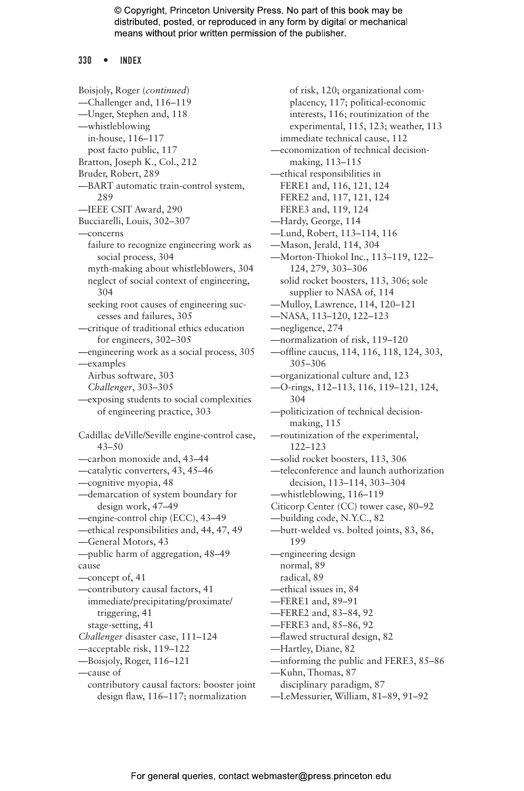#### 330 • Index

Boisjoly, Roger (*continued*) —Challenger and, 116–119 —Unger, Stephen and, 118 —whistleblowing in-house, 116–117 post facto public, 117 Bratton, Joseph K., Col., 212 Bruder, Robert, 289 —BART automatic train-control system, 289 —IEEE CSIT Award, 290 Bucciarelli, Louis, 302–307 —concerns failure to recognize engineering work as social process, 304 myth-making about whistleblowers, 304 neglect of social context of engineering, 304 seeking root causes of engineering successes and failures, 305 —critique of traditional ethics education for engineers, 302–305 —engineering work as a social process, 305 —examples Airbus software, 303 *Challenger*, 303–305 —exposing students to social complexities of engineering practice, 303 Cadillac deVille/Seville engine-control case,  $43 - 50$ —carbon monoxide and, 43–44 —catalytic converters, 43, 45–46 —cognitive myopia, 48 —demarcation of system boundary for design work, 47–49 —engine-control chip (ECC), 43–49 —ethical responsibilities and, 44, 47, 49 —General Motors, 43 —public harm of aggregation, 48–49 cause —concept of, 41 —contributory causal factors, 41 immediate/precipitating/proximate/ triggering, 41 stage-setting, 41 *Challenger* disaster case, 111–124 —acceptable risk, 119–122 —Boisjoly, Roger, 116–121 —cause of contributory causal factors: booster joint design flaw, 116–117; normalization

of risk, 120; organizational complacency, 117; political-economic interests, 116; routinization of the experimental, 115, 123; weather, 113 immediate technical cause, 112 —economization of technical decisionmaking, 113–115 —ethical responsibilities in FERE1 and, 116, 121, 124 FERE2 and, 117, 121, 124 FERE3 and, 119, 124 —Hardy, George, 114 —Lund, Robert, 113–114, 116 —Mason, Jerald, 114, 304 —Morton-Thiokol Inc., 113–119, 122– 124, 279, 303–306 solid rocket boosters, 113, 306; sole supplier to NASA of, 114 —Mulloy, Lawrence, 114, 120–121 —NASA, 113–120, 122–123 —negligence, 274 —normalization of risk, 119–120 —offline caucus, 114, 116, 118, 124, 303, 305–306 —organizational culture and, 123 —O-rings, 112–113, 116, 119–121, 124, 304 —politicization of technical decisionmaking, 115 —routinization of the experimental, 122–123 —solid rocket boosters, 113, 306 —teleconference and launch authorization decision, 113–114, 303–304 —whistleblowing, 116–119 Citicorp Center (CC) tower case, 80–92 —building code, N.Y.C., 82 —butt-welded vs. bolted joints, 83, 86, 199 —engineering design normal, 89 radical, 89 —ethical issues in, 84 —FERE1 and, 89–91 —FERE2 and, 83–84, 92 —FERE3 and, 85–86, 92 —flawed structural design, 82 —Hartley, Diane, 82 —informing the public and FERE3, 85–86 —Kuhn, Thomas, 87 disciplinary paradigm, 87 —LeMessurier, William, 81–89, 91–92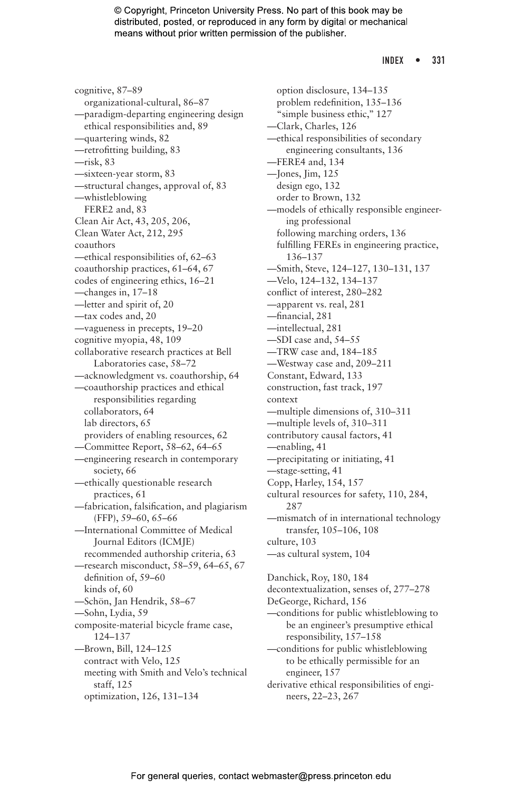cognitive, 87–89 organizational-cultural, 86–87 —paradigm-departing engineering design ethical responsibilities and, 89 —quartering winds, 82 —retrofitting building, 83 —risk, 83 —sixteen-year storm, 83 —structural changes, approval of, 83 —whistleblowing FERE2 and, 83 Clean Air Act, 43, 205, 206, Clean Water Act, 212, 295 coauthors —ethical responsibilities of, 62–63 coauthorship practices, 61–64, 67 codes of engineering ethics, 16–21 —changes in, 17–18 —letter and spirit of, 20 —tax codes and, 20 —vagueness in precepts, 19–20 cognitive myopia, 48, 109 collaborative research practices at Bell Laboratories case, 58–72 —acknowledgment vs. coauthorship, 64 —coauthorship practices and ethical responsibilities regarding collaborators, 64 lab directors, 65 providers of enabling resources, 62 —Committee Report, 58–62, 64–65 —engineering research in contemporary society, 66 —ethically questionable research practices, 61 —fabrication, falsification, and plagiarism (FFP), 59–60, 65–66 —International Committee of Medical Journal Editors (ICMJE) recommended authorship criteria, 63 —research misconduct, 58–59, 64–65, 67 definition of, 59–60 kinds of, 60 —Schön, Jan Hendrik, 58–67 —Sohn, Lydia, 59 composite-material bicycle frame case, 124–137 —Brown, Bill, 124–125 contract with Velo, 125 meeting with Smith and Velo's technical staff, 125 optimization, 126, 131–134

option disclosure, 134–135 problem redefinition, 135–136 "simple business ethic," 127 —Clark, Charles, 126 —ethical responsibilities of secondary engineering consultants, 136 —FERE4 and, 134 —Jones, Jim, 125 design ego, 132 order to Brown, 132 —models of ethically responsible engineering professional following marching orders, 136 fulfilling FEREs in engineering practice, 136–137 —Smith, Steve, 124–127, 130–131, 137 —Velo, 124–132, 134–137 conflict of interest, 280–282 —apparent vs. real, 281 —financial, 281 —intellectual, 281 —SDI case and, 54–55 —TRW case and, 184–185 —Westway case and, 209–211 Constant, Edward, 133 construction, fast track, 197 context —multiple dimensions of, 310–311 —multiple levels of, 310–311 contributory causal factors, 41 —enabling, 41 —precipitating or initiating, 41 —stage-setting, 41 Copp, Harley, 154, 157 cultural resources for safety, 110, 284, 287 —mismatch of in international technology transfer, 105–106, 108 culture, 103 —as cultural system, 104 Danchick, Roy, 180, 184 decontextualization, senses of, 277–278 DeGeorge, Richard, 156 —conditions for public whistleblowing to be an engineer's presumptive ethical responsibility, 157–158 —conditions for public whistleblowing to be ethically permissible for an engineer, 157 derivative ethical responsibilities of engineers, 22–23, 267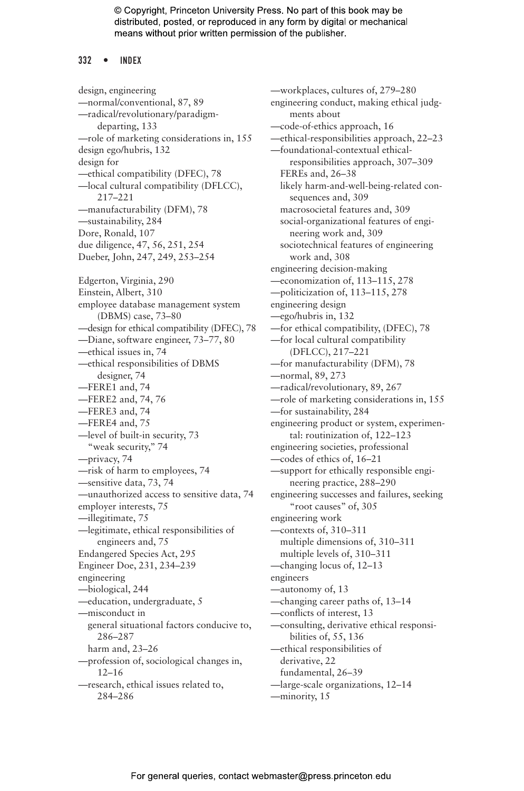### 332 • Index

design, engineering —normal/conventional, 87, 89 —radical/revolutionary/paradigmdeparting, 133 —role of marketing considerations in, 155 design ego/hubris, 132 design for —ethical compatibility (DFEC), 78 —local cultural compatibility (DFLCC), 217–221 —manufacturability (DFM), 78 —sustainability, 284 Dore, Ronald, 107 due diligence, 47, 56, 251, 254 Dueber, John, 247, 249, 253–254 Edgerton, Virginia, 290 Einstein, Albert, 310 employee database management system (DBMS) case, 73–80 —design for ethical compatibility (DFEC), 78 —Diane, software engineer, 73–77, 80 —ethical issues in, 74 —ethical responsibilities of DBMS designer, 74 —FERE1 and, 74 —FERE2 and, 74, 76 —FERE3 and, 74 —FERE4 and, 75 —level of built-in security, 73 "weak security," 74 —privacy, 74 —risk of harm to employees, 74 —sensitive data, 73, 74 —unauthorized access to sensitive data, 74 employer interests, 75 —illegitimate, 75 —legitimate, ethical responsibilities of engineers and, 75 Endangered Species Act, 295 Engineer Doe, 231, 234–239 engineering —biological, 244 —education, undergraduate, 5 —misconduct in general situational factors conducive to, 286–287 harm and, 23–26 —profession of, sociological changes in, 12–16 —research, ethical issues related to, 284–286

—workplaces, cultures of, 279–280 engineering conduct, making ethical judgments about —code-of-ethics approach, 16 —ethical-responsibilities approach, 22–23 —foundational-contextual ethicalresponsibilities approach, 307–309 FEREs and, 26–38 likely harm-and-well-being-related consequences and, 309 macrosocietal features and, 309 social-organizational features of engineering work and, 309 sociotechnical features of engineering work and, 308 engineering decision-making —economization of, 113–115, 278 —politicization of, 113–115, 278 engineering design —ego/hubris in, 132 —for ethical compatibility, (DFEC), 78 —for local cultural compatibility (DFLCC), 217–221 —for manufacturability (DFM), 78 —normal, 89, 273 —radical/revolutionary, 89, 267 —role of marketing considerations in, 155 —for sustainability, 284 engineering product or system, experimental: routinization of, 122–123 engineering societies, professional —codes of ethics of, 16–21 —support for ethically responsible engineering practice, 288–290 engineering successes and failures, seeking "root causes" of, 305 engineering work —contexts of, 310–311 multiple dimensions of, 310–311 multiple levels of, 310–311 —changing locus of, 12–13 engineers —autonomy of, 13 —changing career paths of, 13–14 —conflicts of interest, 13 —consulting, derivative ethical responsibilities of, 55, 136 —ethical responsibilities of derivative, 22 fundamental, 26–39 —large-scale organizations, 12–14 —minority, 15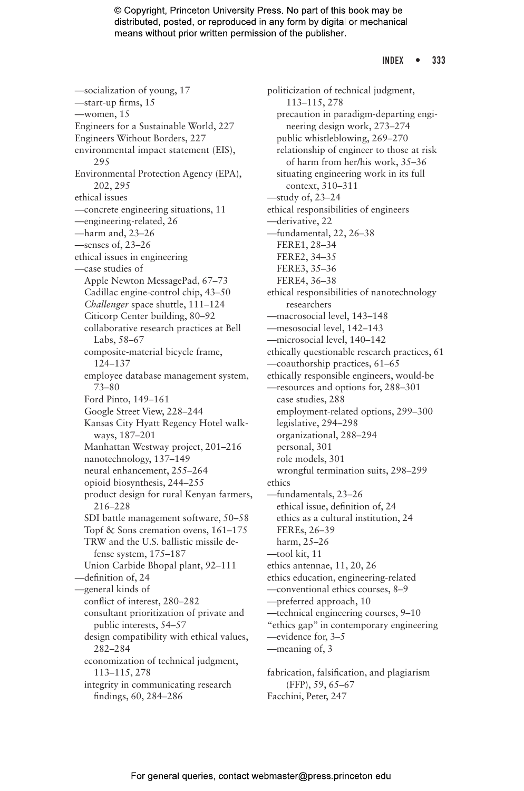#### Index • 333

—socialization of young, 17 —start-up firms, 15 —women, 15 Engineers for a Sustainable World, 227 Engineers Without Borders, 227 environmental impact statement (EIS), 295 Environmental Protection Agency (EPA), 202, 295 ethical issues —concrete engineering situations, 11 —engineering-related, 26 —harm and, 23–26 —senses of, 23–26 ethical issues in engineering —case studies of Apple Newton MessagePad, 67–73 Cadillac engine-control chip, 43–50 *Challenger* space shuttle, 111–124 Citicorp Center building, 80–92 collaborative research practices at Bell Labs, 58–67 composite-material bicycle frame, 124–137 employee database management system, 73–80 Ford Pinto, 149–161 Google Street View, 228–244 Kansas City Hyatt Regency Hotel walkways, 187–201 Manhattan Westway project, 201–216 nanotechnology, 137–149 neural enhancement, 255–264 opioid biosynthesis, 244–255 product design for rural Kenyan farmers, 216–228 SDI battle management software, 50–58 Topf & Sons cremation ovens, 161–175 TRW and the U.S. ballistic missile defense system, 175–187 Union Carbide Bhopal plant, 92–111 —definition of, 24 —general kinds of conflict of interest, 280–282 consultant prioritization of private and public interests, 54–57 design compatibility with ethical values, 282–284 economization of technical judgment, 113–115, 278 integrity in communicating research findings, 60, 284–286

politicization of technical judgment, 113–115, 278 precaution in paradigm-departing engineering design work, 273–274 public whistleblowing, 269–270 relationship of engineer to those at risk of harm from her/his work, 35–36 situating engineering work in its full context, 310–311 —study of, 23–24 ethical responsibilities of engineers —derivative, 22 —fundamental, 22, 26–38 FERE1, 28–34 FERE2, 34–35 FERE3, 35–36 FERE4, 36–38 ethical responsibilities of nanotechnology researchers —macrosocial level, 143–148 —mesosocial level, 142–143 —microsocial level, 140–142 ethically questionable research practices, 61 —coauthorship practices, 61–65 ethically responsible engineers, would-be —resources and options for, 288–301 case studies, 288 employment-related options, 299–300 legislative, 294–298 organizational, 288–294 personal, 301 role models, 301 wrongful termination suits, 298–299 ethics —fundamentals, 23–26 ethical issue, definition of, 24 ethics as a cultural institution, 24 FEREs, 26–39 harm, 25–26 —tool kit, 11 ethics antennae, 11, 20, 26 ethics education, engineering-related —conventional ethics courses, 8–9 —preferred approach, 10 —technical engineering courses, 9–10 "ethics gap" in contemporary engineering —evidence for, 3–5 —meaning of, 3

fabrication, falsification, and plagiarism (FFP), 59, 65–67 Facchini, Peter, 247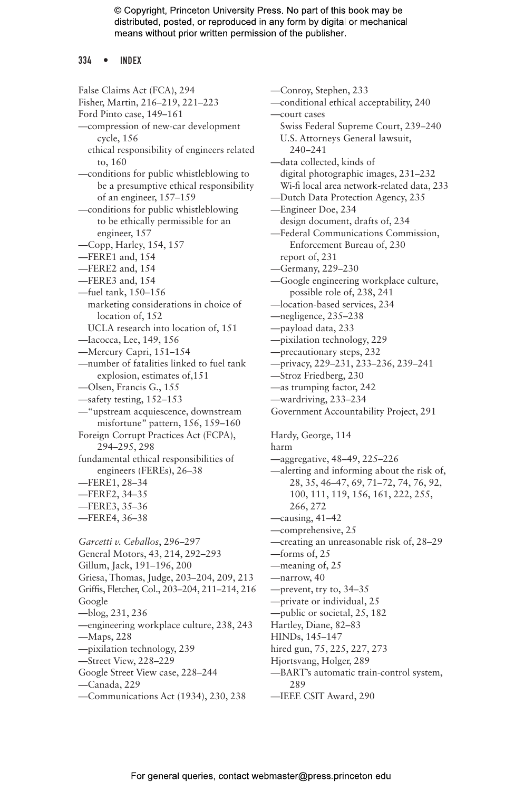### 334 • Index

False Claims Act (FCA), 294 Fisher, Martin, 216–219, 221–223 Ford Pinto case, 149–161 —compression of new-car development cycle, 156 ethical responsibility of engineers related to, 160 —conditions for public whistleblowing to be a presumptive ethical responsibility of an engineer, 157–159 —conditions for public whistleblowing to be ethically permissible for an engineer, 157 —Copp, Harley, 154, 157 —FERE1 and, 154 —FERE2 and, 154 —FERE3 and, 154 —fuel tank, 150–156 marketing considerations in choice of location of, 152 UCLA research into location of, 151 —Iacocca, Lee, 149, 156 —Mercury Capri, 151–154 —number of fatalities linked to fuel tank explosion, estimates of,151 —Olsen, Francis G., 155 —safety testing, 152–153 —"upstream acquiescence, downstream misfortune" pattern, 156, 159–160 Foreign Corrupt Practices Act (FCPA), 294–295, 298 fundamental ethical responsibilities of engineers (FEREs), 26–38 —FERE1, 28–34 —FERE2, 34–35 —FERE3, 35–36 —FERE4, 36–38 *Garcetti v. Ceballos*, 296–297 General Motors, 43, 214, 292–293 Gillum, Jack, 191–196, 200 Griesa, Thomas, Judge, 203–204, 209, 213 Griffis, Fletcher, Col., 203–204, 211–214, 216 Google —blog, 231, 236 —engineering workplace culture, 238, 243 —Maps, 228 —pixilation technology, 239 —Street View, 228–229 Google Street View case, 228–244 —Canada, 229 —Communications Act (1934), 230, 238

—Conroy, Stephen, 233 —conditional ethical acceptability, 240 —court cases Swiss Federal Supreme Court, 239–240 U.S. Attorneys General lawsuit, 240–241 —data collected, kinds of digital photographic images, 231–232 Wi-fi local area network-related data, 233 —Dutch Data Protection Agency, 235 —Engineer Doe, 234 design document, drafts of, 234 —Federal Communications Commission, Enforcement Bureau of, 230 report of, 231 —Germany, 229–230 —Google engineering workplace culture, possible role of, 238, 241 —location-based services, 234 —negligence, 235–238 —payload data, 233 —pixilation technology, 229 —precautionary steps, 232 —privacy, 229–231, 233–236, 239–241 —Stroz Friedberg, 230 —as trumping factor, 242 —wardriving, 233–234 Government Accountability Project, 291 Hardy, George, 114 harm —aggregative, 48–49, 225–226 —alerting and informing about the risk of, 28, 35, 46–47, 69, 71–72, 74, 76, 92, 100, 111, 119, 156, 161, 222, 255, 266, 272 —causing, 41–42 —comprehensive, 25 —creating an unreasonable risk of, 28–29 —forms of, 25 —meaning of, 25 —narrow, 40 —prevent, try to, 34–35 —private or individual, 25 —public or societal, 25, 182 Hartley, Diane, 82–83 HINDs, 145–147 hired gun, 75, 225, 227, 273 Hjortsvang, Holger, 289 —BART's automatic train-control system, 289 —IEEE CSIT Award, 290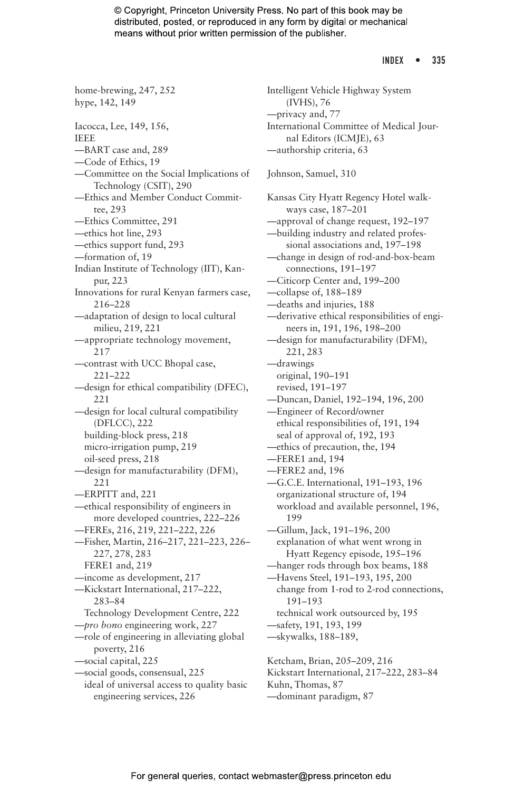#### Index • 335

home-brewing, 247, 252 hype, 142, 149 Iacocca, Lee, 149, 156, IEEE —BART case and, 289 —Code of Ethics, 19 —Committee on the Social Implications of Technology (CSIT), 290 —Ethics and Member Conduct Committee, 293 —Ethics Committee, 291 —ethics hot line, 293 —ethics support fund, 293 —formation of, 19 Indian Institute of Technology (IIT), Kanpur, 223 Innovations for rural Kenyan farmers case, 216–228 —adaptation of design to local cultural milieu, 219, 221 —appropriate technology movement, 217 —contrast with UCC Bhopal case, 221–222 —design for ethical compatibility (DFEC), 221 —design for local cultural compatibility (DFLCC), 222 building-block press, 218 micro-irrigation pump, 219 oil-seed press, 218 —design for manufacturability (DFM), 221 —ERPITT and, 221 —ethical responsibility of engineers in more developed countries, 222–226 —FEREs, 216, 219, 221–222, 226 —Fisher, Martin, 216–217, 221–223, 226– 227, 278, 283 FERE1 and, 219 —income as development, 217 —Kickstart International, 217–222, 283–84 Technology Development Centre, 222 —*pro bono* engineering work, 227 —role of engineering in alleviating global poverty, 216 —social capital, 225 —social goods, consensual, 225 ideal of universal access to quality basic engineering services, 226

Intelligent Vehicle Highway System (IVHS), 76 —privacy and, 77 International Committee of Medical Journal Editors (ICMJE), 63 —authorship criteria, 63

#### Johnson, Samuel, 310

Kansas City Hyatt Regency Hotel walkways case, 187–201 —approval of change request, 192–197 —building industry and related professional associations and, 197–198 —change in design of rod-and-box-beam connections, 191–197 —Citicorp Center and, 199–200 —collapse of, 188–189 —deaths and injuries, 188 —derivative ethical responsibilities of engineers in, 191, 196, 198–200 —design for manufacturability (DFM), 221, 283 —drawings original, 190–191 revised, 191–197 —Duncan, Daniel, 192–194, 196, 200 —Engineer of Record/owner ethical responsibilities of, 191, 194 seal of approval of, 192, 193 —ethics of precaution, the, 194 —FERE1 and, 194 —FERE2 and, 196 —G.C.E. International, 191–193, 196 organizational structure of, 194 workload and available personnel, 196, 199 —Gillum, Jack, 191–196, 200 explanation of what went wrong in Hyatt Regency episode, 195–196 —hanger rods through box beams, 188 —Havens Steel, 191–193, 195, 200 change from 1-rod to 2-rod connections, 191–193 technical work outsourced by, 195 —safety, 191, 193, 199 —skywalks, 188–189, Ketcham, Brian, 205–209, 216 Kickstart International, 217–222, 283–84 Kuhn, Thomas, 87

—dominant paradigm, 87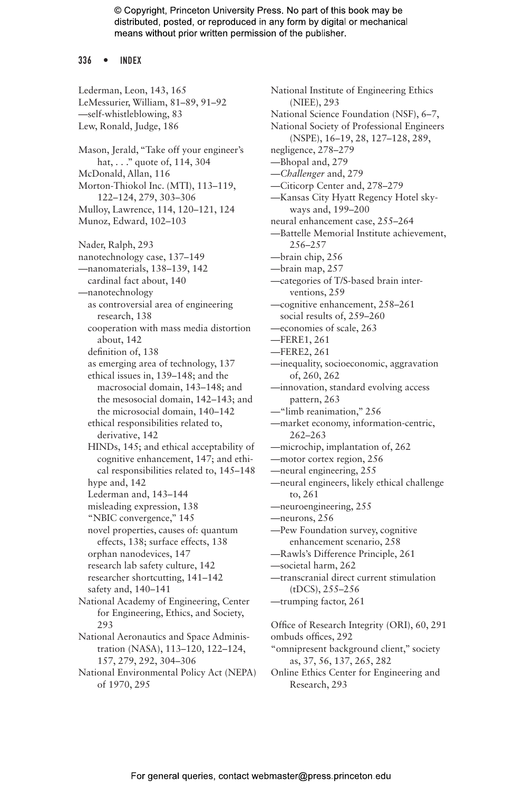### 336 • Index

Lederman, Leon, 143, 165 LeMessurier, William, 81–89, 91–92 —self-whistleblowing, 83 Lew, Ronald, Judge, 186 Mason, Jerald, "Take off your engineer's hat, . . ." quote of, 114, 304 McDonald, Allan, 116 Morton-Thiokol Inc. (MTI), 113–119, 122–124, 279, 303–306 Mulloy, Lawrence, 114, 120–121, 124 Munoz, Edward, 102–103 Nader, Ralph, 293 nanotechnology case, 137–149 —nanomaterials, 138–139, 142 cardinal fact about, 140 —nanotechnology as controversial area of engineering research, 138 cooperation with mass media distortion about, 142 definition of, 138 as emerging area of technology, 137 ethical issues in, 139–148; and the macrosocial domain, 143–148; and the mesosocial domain, 142–143; and the microsocial domain, 140–142 ethical responsibilities related to, derivative, 142 HINDs, 145; and ethical acceptability of cognitive enhancement, 147; and ethical responsibilities related to, 145–148 hype and, 142 Lederman and, 143–144 misleading expression, 138 "NBIC convergence," 145 novel properties, causes of: quantum effects, 138; surface effects, 138 orphan nanodevices, 147 research lab safety culture, 142 researcher shortcutting, 141–142 safety and, 140–141 National Academy of Engineering, Center for Engineering, Ethics, and Society, 293 National Aeronautics and Space Administration (NASA), 113–120, 122–124, 157, 279, 292, 304–306 National Environmental Policy Act (NEPA) of 1970, 295

National Institute of Engineering Ethics (NIEE), 293 National Science Foundation (NSF), 6–7, National Society of Professional Engineers (NSPE), 16–19, 28, 127–128, 289, negligence, 278–279 —Bhopal and, 279 —*Challenger* and, 279 —Citicorp Center and, 278–279 —Kansas City Hyatt Regency Hotel skyways and, 199–200 neural enhancement case, 255–264 —Battelle Memorial Institute achievement, 256–257 —brain chip, 256 —brain map, 257 —categories of T/S-based brain interventions, 259 —cognitive enhancement, 258–261 social results of, 259–260 —economies of scale, 263 —FERE1, 261 —FERE2, 261 —inequality, socioeconomic, aggravation of, 260, 262 —innovation, standard evolving access pattern, 263 —"limb reanimation," 256 —market economy, information-centric, 262–263 —microchip, implantation of, 262 —motor cortex region, 256 —neural engineering, 255 —neural engineers, likely ethical challenge to, 261 —neuroengineering, 255 —neurons, 256 —Pew Foundation survey, cognitive enhancement scenario, 258 —Rawls's Difference Principle, 261 —societal harm, 262 —transcranial direct current stimulation (tDCS), 255–256 —trumping factor, 261 Office of Research Integrity (ORI), 60, 291 ombuds offices, 292 "omnipresent background client," society as, 37, 56, 137, 265, 282

Online Ethics Center for Engineering and Research, 293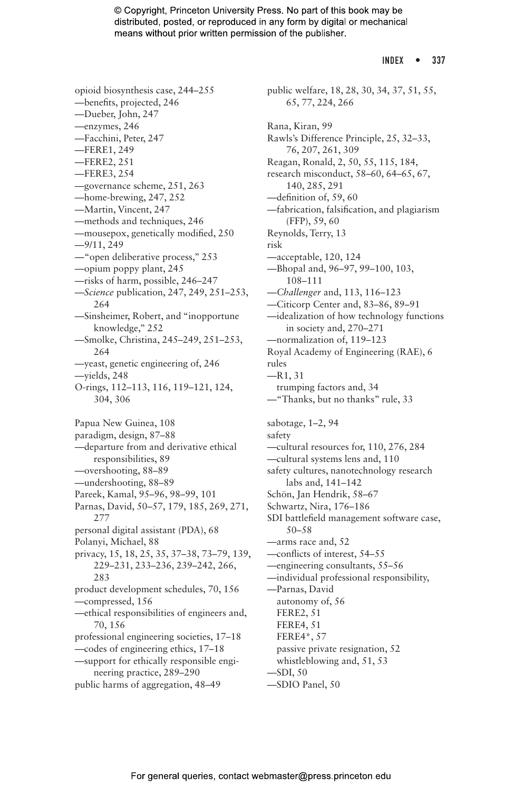#### Index • 337

opioid biosynthesis case, 244–255 —benefits, projected, 246 —Dueber, John, 247 —enzymes, 246 —Facchini, Peter, 247 —FERE1, 249 —FERE2, 251 —FERE3, 254 —governance scheme, 251, 263 —home-brewing, 247, 252 —Martin, Vincent, 247 —methods and techniques, 246 —mousepox, genetically modified, 250  $-9/11, 249$ —"open deliberative process," 253 —opium poppy plant, 245 —risks of harm, possible, 246–247 —*Science* publication, 247, 249, 251–253, 264 —Sinsheimer, Robert, and "inopportune knowledge," 252 —Smolke, Christina, 245–249, 251–253, 264 —yeast, genetic engineering of, 246 —yields, 248 O-rings, 112–113, 116, 119–121, 124, 304, 306 Papua New Guinea, 108 paradigm, design, 87–88 —departure from and derivative ethical responsibilities, 89 —overshooting, 88–89 —undershooting, 88–89 Pareek, Kamal, 95–96, 98–99, 101 Parnas, David, 50–57, 179, 185, 269, 271, 277 personal digital assistant (PDA), 68 Polanyi, Michael, 88 privacy, 15, 18, 25, 35, 37–38, 73–79, 139, 229–231, 233–236, 239–242, 266, 283 product development schedules, 70, 156 —compressed, 156 —ethical responsibilities of engineers and, 70, 156 professional engineering societies, 17–18 —codes of engineering ethics, 17–18 —support for ethically responsible engineering practice, 289–290 public harms of aggregation, 48–49

public welfare, 18, 28, 30, 34, 37, 51, 55, 65, 77, 224, 266 Rana, Kiran, 99 Rawls's Difference Principle, 25, 32–33, 76, 207, 261, 309 Reagan, Ronald, 2, 50, 55, 115, 184, research misconduct, 58–60, 64–65, 67, 140, 285, 291 —definition of, 59, 60 —fabrication, falsification, and plagiarism (FFP), 59, 60 Reynolds, Terry, 13 risk —acceptable, 120, 124 —Bhopal and, 96–97, 99–100, 103, 108–111 —*Challenger* and, 113, 116–123 —Citicorp Center and, 83–86, 89–91 —idealization of how technology functions in society and, 270–271 —normalization of, 119–123 Royal Academy of Engineering (RAE), 6 rules  $-$ R<sub>1</sub>, 3<sub>1</sub> trumping factors and, 34 —"Thanks, but no thanks" rule, 33 sabotage, 1–2, 94 safety —cultural resources for, 110, 276, 284 —cultural systems lens and, 110 safety cultures, nanotechnology research labs and, 141–142 Schön, Jan Hendrik, 58–67 Schwartz, Nira, 176–186 SDI battlefield management software case, 50–58 —arms race and, 52 —conflicts of interest, 54–55 —engineering consultants, 55–56 —individual professional responsibility, —Parnas, David autonomy of, 56 FERE2, 51 FERE4, 51 FERE4\*, 57 passive private resignation, 52 whistleblowing and, 51, 53 —SDI, 50 —SDIO Panel, 50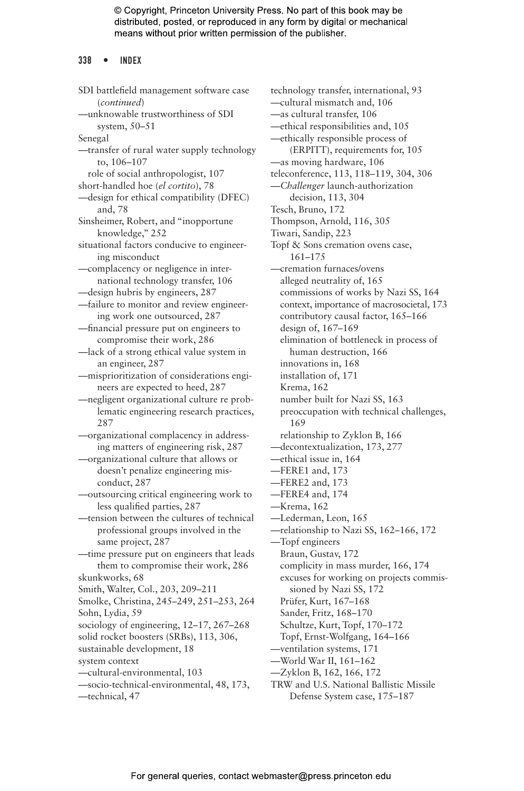## 338 • Index

SDI battlefield management software case (*continued*) —unknowable trustworthiness of SDI system, 50–51 Senegal —transfer of rural water supply technology to, 106–107 role of social anthropologist, 107 short-handled hoe (*el cortito*), 78 —design for ethical compatibility (DFEC) and, 78 Sinsheimer, Robert, and "inopportune knowledge," 252 situational factors conducive to engineering misconduct —complacency or negligence in international technology transfer, 106 —design hubris by engineers, 287 —failure to monitor and review engineering work one outsourced, 287 —financial pressure put on engineers to compromise their work, 286 —lack of a strong ethical value system in an engineer, 287 —misprioritization of considerations engineers are expected to heed, 287 —negligent organizational culture re problematic engineering research practices, 287 —organizational complacency in addressing matters of engineering risk, 287 —organizational culture that allows or doesn't penalize engineering misconduct, 287 —outsourcing critical engineering work to less qualified parties, 287 —tension between the cultures of technical professional groups involved in the same project, 287 —time pressure put on engineers that leads them to compromise their work, 286 skunkworks, 68 Smith, Walter, Col., 203, 209–211 Smolke, Christina, 245–249, 251–253, 264 Sohn, Lydia, 59 sociology of engineering, 12–17, 267–268 solid rocket boosters (SRBs), 113, 306, sustainable development, 18 system context —cultural-environmental, 103 —socio-technical-environmental, 48, 173, —technical, 47

technology transfer, international, 93 —cultural mismatch and, 106 —as cultural transfer, 106 —ethical responsibilities and, 105 —ethically responsible process of (ERPITT), requirements for, 105 —as moving hardware, 106 teleconference, 113, 118–119, 304, 306 —*Challenger* launch-authorization decision, 113, 304 Tesch, Bruno, 172 Thompson, Arnold, 116, 305 Tiwari, Sandip, 223 Topf & Sons cremation ovens case, 161–175 —cremation furnaces/ovens alleged neutrality of, 165 commissions of works by Nazi SS, 164 context, importance of macrosocietal, 173 contributory causal factor, 165–166 design of, 167–169 elimination of bottleneck in process of human destruction, 166 innovations in, 168 installation of, 171 Krema, 162 number built for Nazi SS, 163 preoccupation with technical challenges, 169 relationship to Zyklon B, 166 —decontextualization, 173, 277 —ethical issue in, 164 —FERE1 and, 173 —FERE2 and, 173 —FERE4 and, 174 —Krema, 162 —Lederman, Leon, 165 —relationship to Nazi SS, 162–166, 172 —Topf engineers Braun, Gustav, 172 complicity in mass murder, 166, 174 excuses for working on projects commissioned by Nazi SS, 172 Prüfer, Kurt, 167–168 Sander, Fritz, 168–170 Schultze, Kurt, Topf, 170–172 Topf, Ernst-Wolfgang, 164–166 —ventilation systems, 171 —World War II, 161–162 —Zyklon B, 162, 166, 172 TRW and U.S. National Ballistic Missile Defense System case, 175–187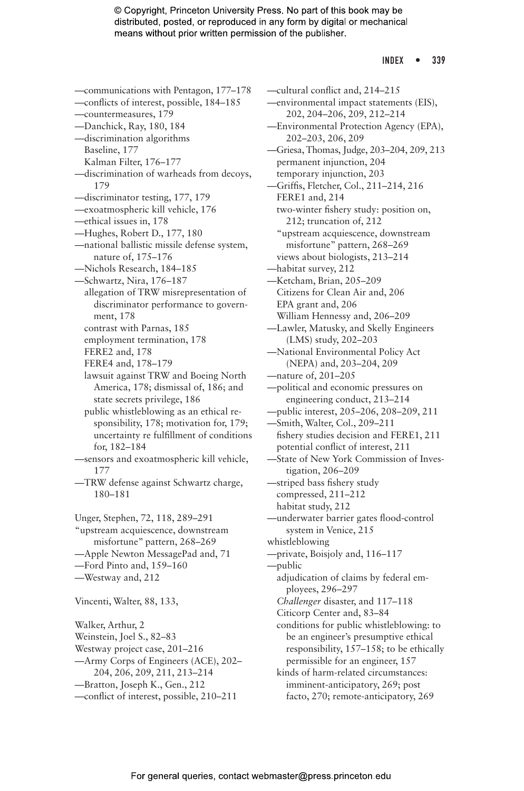#### Index • 339

- —communications with Pentagon, 177–178
- —conflicts of interest, possible, 184–185
- —countermeasures, 179
- —Danchick, Ray, 180, 184
- —discrimination algorithms Baseline, 177
	- Kalman Filter, 176–177
- —discrimination of warheads from decoys, 179
- —discriminator testing, 177, 179
- —exoatmospheric kill vehicle, 176
- —ethical issues in, 178
- —Hughes, Robert D., 177, 180
- —national ballistic missile defense system, nature of, 175–176
- —Nichols Research, 184–185
- —Schwartz, Nira, 176–187
	- allegation of TRW misrepresentation of discriminator performance to government, 178
	- contrast with Parnas, 185
	- employment termination, 178
	- FERE2 and, 178
	- FERE4 and, 178–179
	- lawsuit against TRW and Boeing North America, 178; dismissal of, 186; and state secrets privilege, 186
	- public whistleblowing as an ethical responsibility, 178; motivation for, 179; uncertainty re fulfillment of conditions for, 182–184
- —sensors and exoatmospheric kill vehicle, 177
- —TRW defense against Schwartz charge, 180–181
- Unger, Stephen, 72, 118, 289–291 "upstream acquiescence, downstream
- misfortune" pattern, 268–269
- —Apple Newton MessagePad and, 71
- —Ford Pinto and, 159–160
- —Westway and, 212

Vincenti, Walter, 88, 133,

Walker, Arthur, 2

- Weinstein, Joel S., 82–83
- Westway project case, 201–216
- —Army Corps of Engineers (ACE), 202–
- 204, 206, 209, 211, 213–214
- —Bratton, Joseph K., Gen., 212 —conflict of interest, possible, 210–211

—cultural conflict and, 214–215 —environmental impact statements (EIS), 202, 204–206, 209, 212–214 —Environmental Protection Agency (EPA), 202–203, 206, 209 —Griesa, Thomas, Judge, 203–204, 209, 213 permanent injunction, 204 temporary injunction, 203 —Griffis, Fletcher, Col., 211–214, 216 FERE1 and, 214 two-winter fishery study: position on, 212; truncation of, 212 "upstream acquiescence, downstream misfortune" pattern, 268–269 views about biologists, 213–214 —habitat survey, 212 —Ketcham, Brian, 205–209 Citizens for Clean Air and, 206 EPA grant and, 206 William Hennessy and, 206–209 —Lawler, Matusky, and Skelly Engineers (LMS) study, 202–203 —National Environmental Policy Act (NEPA) and, 203–204, 209 —nature of, 201–205 —political and economic pressures on engineering conduct, 213–214 —public interest, 205–206, 208–209, 211 —Smith, Walter, Col., 209–211 fishery studies decision and FERE1, 211 potential conflict of interest, 211 —State of New York Commission of Investigation, 206–209 —striped bass fishery study compressed, 211–212 habitat study, 212 —underwater barrier gates flood-control system in Venice, 215 whistleblowing —private, Boisjoly and, 116–117 —public adjudication of claims by federal employees, 296–297 *Challenger* disaster, and 117–118 Citicorp Center and, 83–84 conditions for public whistleblowing: to be an engineer's presumptive ethical responsibility, 157–158; to be ethically permissible for an engineer, 157 kinds of harm-related circumstances: imminent-anticipatory, 269; post

facto, 270; remote-anticipatory, 269